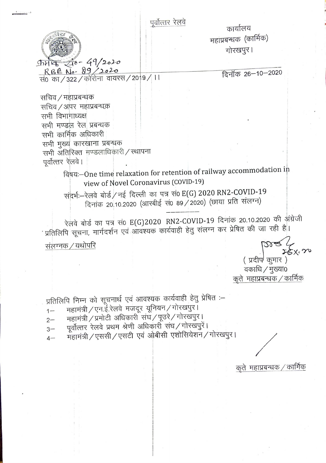पूर्वोत्तर रेलवे

कार्यालय महांप्रबन्धक (कार्मिक) गोरखपुर।

17月5-49/2020

R B E No. 89 /2020<br>सं0 का / 322 / कोरोना वायरस / 2019 / 11

दिनॉक 26-10-2020

सचिव / महाप्रबन्धक सचिव / अपर महाप्रबन्धक सभी विभागाध्यक्ष सभी मण्डल रेल प्रबन्धक सभी कार्मिक अधिकारी सभी मुख्य कारखाना प्रबन्धक सभी अंतिरिक्त मण्डलाधिकारी / स्थापना पर्वोत्तर रेलवे।

विषय:--One time relaxation for retention of railway accommodation in view of Novel Coronavirus (COVID-19)

संदर्भ:-रेलवे बोर्ड/नई दिल्ली का पत्र संo E(G) 2020 RN2-COVID-19 दिनांक 20.10.2020 (आरबीई सं0 89 / 2020) (छाया प्रति संलग्न)

रेलवे बोर्ड का पत्र सं0 E(G)2020 RN2-COVID-19 दिनांक 20.10.2020 की अंग्रेजी ' प्रतिलिपि सूचना, मार्गदर्शन एवं आवश्यक कार्यवाही हेतु संलग्न कर प्रेषित की जा रही है। संलग्नक / यथोपरि

> ( प्रदीप<sup>)</sup> कुमार ) .<br>वकाधि / मुख्या0 कते महाप्रबन्धक / कार्मिक

प्रतिलिपि निम्न को सूचनार्थ एवं आवश्यक कार्यवाही हेतु प्रेषित :-

- महामंत्री / एन.ई.रेलवे मजदूर यूनियन / गोरखपुर।  $1-$
- महामंत्री / प्रमोटी अधिकारी संघ / पूउरे / गोरखपुर।  $2 -$
- पूर्वोत्तर रेलवे प्रथम श्रेणी अधिकारी संघ/गोरखपुरें।  $3-$
- महामंत्री / एससी / एसटी एवं ओबीसी एशोसियेशन / गोरखपुर।  $4-$

कृते महाप्रबन्धक / कार्मिक